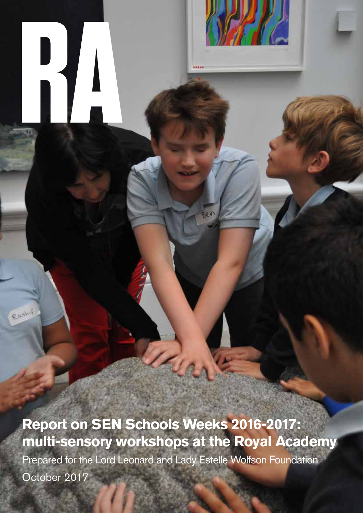**Report on SEN Schools Weeks 2016-2017: multi-sensory workshops at the Royal Academy**  Prepared for the Lord Leonard and Lady Estelle Wolfson Foundation October 2017

Rashi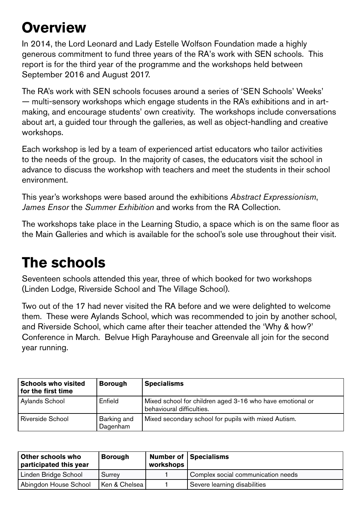#### **Overview**

In 2014, the Lord Leonard and Lady Estelle Wolfson Foundation made a highly generous commitment to fund three years of the RA's work with SEN schools. This report is for the third year of the programme and the workshops held between September 2016 and August 2017.

The RA's work with SEN schools focuses around a series of 'SEN Schools' Weeks' — multi-sensory workshops which engage students in the RA's exhibitions and in artmaking, and encourage students' own creativity. The workshops include conversations about art, a guided tour through the galleries, as well as object-handling and creative workshops.

Each workshop is led by a team of experienced artist educators who tailor activities to the needs of the group. In the majority of cases, the educators visit the school in advance to discuss the workshop with teachers and meet the students in their school environment.

This year's workshops were based around the exhibitions *Abstract Expressionism*, *James Ensor* the *Summer Exhibition* and works from the RA Collection.

The workshops take place in the Learning Studio, a space which is on the same floor as the Main Galleries and which is available for the school's sole use throughout their visit.

### **The schools**

Seventeen schools attended this year, three of which booked for two workshops (Linden Lodge, Riverside School and The Village School).

Two out of the 17 had never visited the RA before and we were delighted to welcome them. These were Aylands School, which was recommended to join by another school, and Riverside School, which came after their teacher attended the 'Why & how?' Conference in March. Belvue High Parayhouse and Greenvale all join for the second year running.

| <b>Schools who visited</b><br>for the first time | <b>Borough</b>          | <b>Specialisms</b>                                                                     |
|--------------------------------------------------|-------------------------|----------------------------------------------------------------------------------------|
| Aylands School                                   | Enfield                 | Mixed school for children aged 3-16 who have emotional or<br>behavioural difficulties. |
| <b>Riverside School</b>                          | Barking and<br>Dagenham | Mixed secondary school for pupils with mixed Autism.                                   |

| Other schools who<br>participated this year | <b>Borough</b> | workshops | Number of   Specialisms            |
|---------------------------------------------|----------------|-----------|------------------------------------|
| Linden Bridge School                        | Surrey         |           | Complex social communication needs |
| Abingdon House School                       | Ken & Chelsea  |           | Severe learning disabilities       |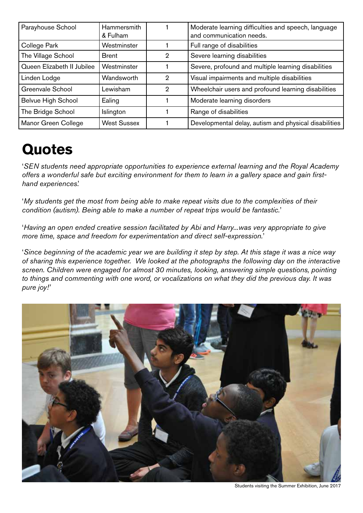| Parayhouse School          | Hammersmith<br>& Fulham |   | Moderate learning difficulties and speech, language<br>and communication needs. |
|----------------------------|-------------------------|---|---------------------------------------------------------------------------------|
| College Park               | Westminster             |   | Full range of disabilities                                                      |
| The Village School         | <b>Brent</b>            | 2 | Severe learning disabilities                                                    |
| Queen Elizabeth II Jubilee | Westminster             |   | Severe, profound and multiple learning disabilities                             |
| Linden Lodge               | Wandsworth              | 2 | Visual impairments and multiple disabilities                                    |
| Greenvale School           | Lewisham                | 2 | Wheelchair users and profound learning disabilities                             |
| <b>Belvue High School</b>  | Ealing                  |   | Moderate learning disorders                                                     |
| The Bridge School          | Islington               |   | Range of disabilities                                                           |
| Manor Green College        | <b>West Sussex</b>      |   | Developmental delay, autism and physical disabilities                           |

## **Quotes**

'*SEN students need appropriate opportunities to experience external learning and the Royal Academy offers a wonderful safe but exciting environment for them to learn in a gallery space and gain firsthand experiences*.'

'*My students get the most from being able to make repeat visits due to the complexities of their condition (autism). Being able to make a number of repeat trips would be fantastic.*'

'*Having an open ended creative session facilitated by Abi and Harry...was very appropriate to give more time, space and freedom for experimentation and direct self-expression.*'

'*Since beginning of the academic year we are building it step by step. At this stage it was a nice way of sharing this experience together. We looked at the photographs the following day on the interactive screen. Children were engaged for almost 30 minutes, looking, answering simple questions, pointing to things and commenting with one word, or vocalizations on what they did the previous day. It was pure joy!'*



Students visiting the Summer Exhibition, June 2017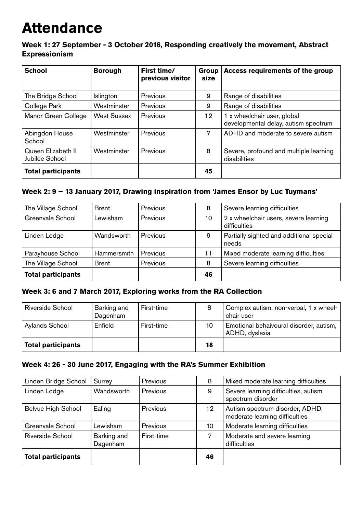### **Attendance**

**Week 1: 27 September - 3 October 2016, Responding creatively the movement, Abstract Expressionism**

| <b>School</b>                        | <b>Borough</b>     | First time/<br>previous visitor | <b>Group</b><br>size | Access requirements of the group                                    |
|--------------------------------------|--------------------|---------------------------------|----------------------|---------------------------------------------------------------------|
| The Bridge School                    | <b>Islington</b>   | Previous                        | 9                    | Range of disabilities                                               |
| College Park                         | Westminster        | Previous                        | 9                    | Range of disabilities                                               |
| Manor Green College                  | <b>West Sussex</b> | Previous                        | 12                   | 1 x wheelchair user, global<br>developmental delay, autism spectrum |
| Abingdon House<br>School             | Westminster        | Previous                        | 7                    | ADHD and moderate to severe autism                                  |
| Queen Elizabeth II<br>Jubilee School | Westminster        | Previous                        | 8                    | Severe, profound and multiple learning<br>disabilities              |
| <b>Total participants</b>            |                    |                                 | 45                   |                                                                     |

#### **Week 2: 9 – 13 January 2017, Drawing inspiration from 'James Ensor by Luc Tuymans'**

| The Village School        | <b>Brent</b> | Previous | 8  | Severe learning difficulties                          |
|---------------------------|--------------|----------|----|-------------------------------------------------------|
| Greenvale School          | Lewisham     | Previous | 10 | 2 x wheelchair users, severe learning<br>difficulties |
| Linden Lodge              | Wandsworth   | Previous | 9  | Partially sighted and additional special<br>needs     |
| Parayhouse School         | Hammersmith  | Previous | 11 | Mixed moderate learning difficulties                  |
| The Village School        | <b>Brent</b> | Previous | 8  | Severe learning difficulties                          |
| <b>Total participants</b> |              |          | 46 |                                                       |

#### **Week 3: 6 and 7 March 2017, Exploring works from the RA Collection**

| Riverside School          | Barking and<br>Dagenham | First-time | 8  | Complex autism, non-verbal, 1 x wheel-<br>chair user      |
|---------------------------|-------------------------|------------|----|-----------------------------------------------------------|
| Aylands School            | Enfield                 | First-time | 10 | Emotional behaivoural disorder, autism,<br>ADHD, dyslexia |
| <b>Total participants</b> |                         |            | 18 |                                                           |

#### **Week 4: 26 - 30 June 2017, Engaging with the RA's Summer Exhibition**

| Linden Bridge School      | Surrey                  | Previous   | 8  | Mixed moderate learning difficulties                              |
|---------------------------|-------------------------|------------|----|-------------------------------------------------------------------|
| Linden Lodge              | Wandsworth              | Previous   | 9  | Severe learning difficulties, autism<br>spectrum disorder         |
| <b>Belvue High School</b> | Ealing                  | Previous   | 12 | Autism spectrum disorder, ADHD,<br>moderate learning difficulties |
| Greenvale School          | Lewisham                | Previous   | 10 | Moderate learning difficulties                                    |
| Riverside School          | Barking and<br>Dagenham | First-time | 7  | Moderate and severe learning<br>difficulties                      |
| <b>Total participants</b> |                         |            | 46 |                                                                   |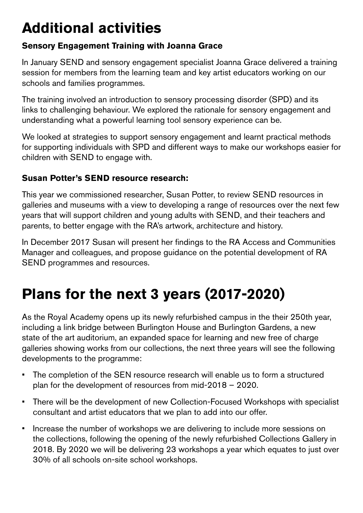# **Additional activities**

#### **Sensory Engagement Training with Joanna Grace**

In January SEND and sensory engagement specialist Joanna Grace delivered a training session for members from the learning team and key artist educators working on our schools and families programmes.

The training involved an introduction to sensory processing disorder (SPD) and its links to challenging behaviour. We explored the rationale for sensory engagement and understanding what a powerful learning tool sensory experience can be.

We looked at strategies to support sensory engagement and learnt practical methods for supporting individuals with SPD and different ways to make our workshops easier for children with SEND to engage with.

#### **Susan Potter's SEND resource research:**

This year we commissioned researcher, Susan Potter, to review SEND resources in galleries and museums with a view to developing a range of resources over the next few years that will support children and young adults with SEND, and their teachers and parents, to better engage with the RA's artwork, architecture and history.

In December 2017 Susan will present her findings to the RA Access and Communities Manager and colleagues, and propose guidance on the potential development of RA SEND programmes and resources.

# **Plans for the next 3 years (2017-2020)**

As the Royal Academy opens up its newly refurbished campus in the their 250th year, including a link bridge between Burlington House and Burlington Gardens, a new state of the art auditorium, an expanded space for learning and new free of charge galleries showing works from our collections, the next three years will see the following developments to the programme:

- The completion of the SEN resource research will enable us to form a structured plan for the development of resources from mid-2018 – 2020.
- There will be the development of new Collection-Focused Workshops with specialist consultant and artist educators that we plan to add into our offer.
- Increase the number of workshops we are delivering to include more sessions on the collections, following the opening of the newly refurbished Collections Gallery in 2018. By 2020 we will be delivering 23 workshops a year which equates to just over 30% of all schools on-site school workshops.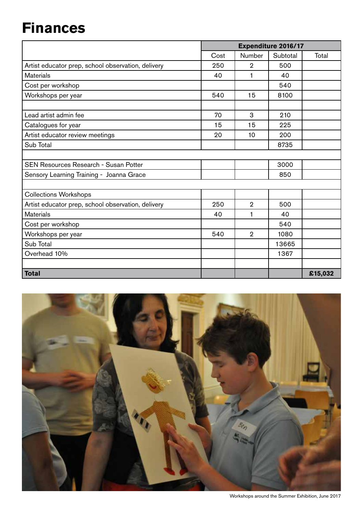# **Finances**

|                                                    |      |                | <b>Expenditure 2016/17</b> |         |
|----------------------------------------------------|------|----------------|----------------------------|---------|
|                                                    | Cost | Number         | Subtotal                   | Total   |
| Artist educator prep, school observation, delivery | 250  | $\overline{2}$ | 500                        |         |
| <b>Materials</b>                                   | 40   | 1              | 40                         |         |
| Cost per workshop                                  |      |                | 540                        |         |
| Workshops per year                                 | 540  | 15             | 8100                       |         |
|                                                    |      |                |                            |         |
| Lead artist admin fee                              | 70   | 3              | 210                        |         |
| Catalogues for year                                | 15   | 15             | 225                        |         |
| Artist educator review meetings                    | 20   | 10             | 200                        |         |
| Sub Total                                          |      |                | 8735                       |         |
|                                                    |      |                |                            |         |
| <b>SEN Resources Research - Susan Potter</b>       |      |                | 3000                       |         |
| Sensory Learning Training - Joanna Grace           |      |                | 850                        |         |
|                                                    |      |                |                            |         |
| <b>Collections Workshops</b>                       |      |                |                            |         |
| Artist educator prep, school observation, delivery | 250  | $\overline{2}$ | 500                        |         |
| <b>Materials</b>                                   | 40   | 1              | 40                         |         |
| Cost per workshop                                  |      |                | 540                        |         |
| Workshops per year                                 | 540  | $\overline{2}$ | 1080                       |         |
| Sub Total                                          |      |                | 13665                      |         |
| Overhead 10%                                       |      |                | 1367                       |         |
|                                                    |      |                |                            |         |
| <b>Total</b>                                       |      |                |                            | £15,032 |

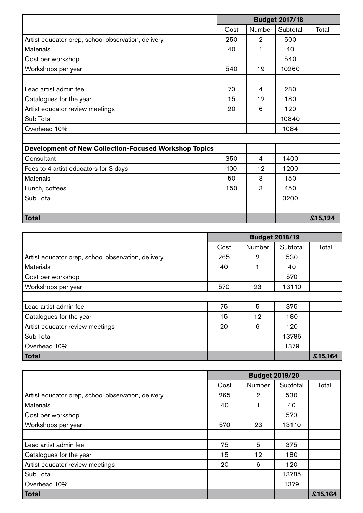|                                                              | <b>Budget 2017/18</b> |                |          |         |
|--------------------------------------------------------------|-----------------------|----------------|----------|---------|
|                                                              | Cost                  | Number         | Subtotal | Total   |
| Artist educator prep, school observation, delivery           | 250                   | $\overline{2}$ | 500      |         |
| <b>Materials</b>                                             | 40                    | 1              | 40       |         |
| Cost per workshop                                            |                       |                | 540      |         |
| Workshops per year                                           | 540                   | 19             | 10260    |         |
|                                                              |                       |                |          |         |
| Lead artist admin fee                                        | 70                    | 4              | 280      |         |
| Catalogues for the year                                      | 15                    | 12             | 180      |         |
| Artist educator review meetings                              | 20                    | 6              | 120      |         |
| Sub Total                                                    |                       |                | 10840    |         |
| Overhead 10%                                                 |                       |                | 1084     |         |
|                                                              |                       |                |          |         |
| <b>Development of New Collection-Focused Workshop Topics</b> |                       |                |          |         |
| Consultant                                                   | 350                   | 4              | 1400     |         |
| Fees to 4 artist educators for 3 days                        | 100                   | 12             | 1200     |         |
| <b>Materials</b>                                             | 50                    | 3              | 150      |         |
| Lunch, coffees                                               | 150                   | 3              | 450      |         |
| Sub Total                                                    |                       |                | 3200     |         |
|                                                              |                       |                |          |         |
| <b>Total</b>                                                 |                       |                |          | £15,124 |

|                                                    |      |                | <b>Budget 2018/19</b> |         |
|----------------------------------------------------|------|----------------|-----------------------|---------|
|                                                    | Cost | Number         | Subtotal              | Total   |
| Artist educator prep, school observation, delivery | 265  | $\overline{2}$ | 530                   |         |
| <b>Materials</b>                                   | 40   |                | 40                    |         |
| Cost per workshop                                  |      |                | 570                   |         |
| Workshops per year                                 | 570  | 23             | 13110                 |         |
|                                                    |      |                |                       |         |
| Lead artist admin fee                              | 75   | 5              | 375                   |         |
| Catalogues for the year                            | 15   | 12             | 180                   |         |
| Artist educator review meetings                    | 20   | 6              | 120                   |         |
| Sub Total                                          |      |                | 13785                 |         |
| Overhead 10%                                       |      |                | 1379                  |         |
| <b>Total</b>                                       |      |                |                       | £15,164 |

|                                                    |      | <b>Budget 2019/20</b> |          |         |
|----------------------------------------------------|------|-----------------------|----------|---------|
|                                                    | Cost | Number                | Subtotal | Total   |
| Artist educator prep, school observation, delivery | 265  | $\overline{2}$        | 530      |         |
| <b>Materials</b>                                   | 40   |                       | 40       |         |
| Cost per workshop                                  |      |                       | 570      |         |
| Workshops per year                                 | 570  | 23                    | 13110    |         |
|                                                    |      |                       |          |         |
| Lead artist admin fee                              | 75   | 5                     | 375      |         |
| Catalogues for the year                            | 15   | 12                    | 180      |         |
| Artist educator review meetings                    | 20   | 6                     | 120      |         |
| Sub Total                                          |      |                       | 13785    |         |
| Overhead 10%                                       |      |                       | 1379     |         |
| <b>Total</b>                                       |      |                       |          | £15,164 |